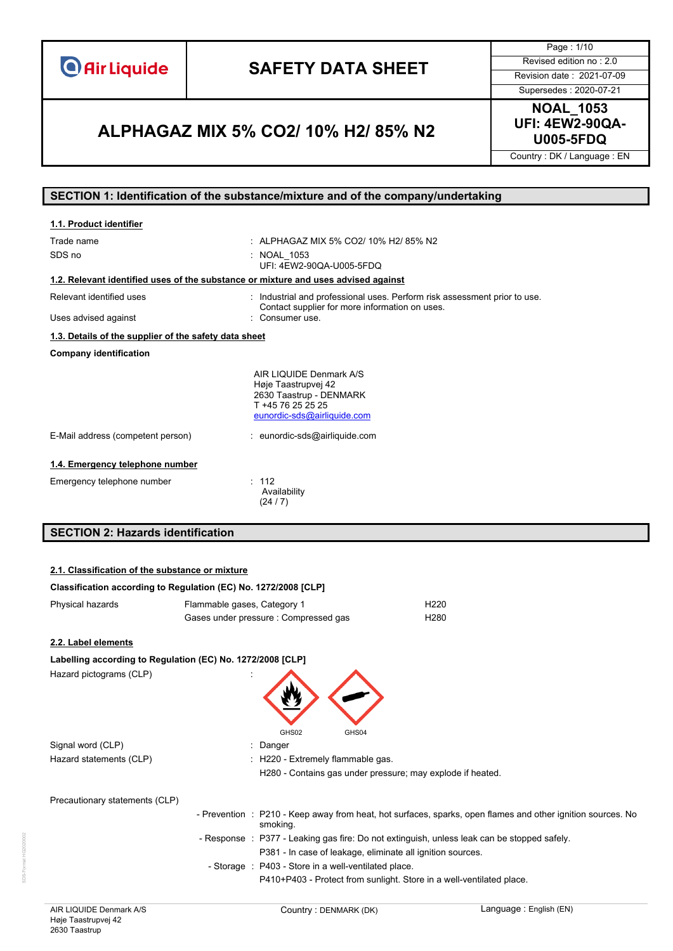**O** Air Liquide

# **SAFETY DATA SHEET** Revised edition no : 2.0

Page : 1/10

Supersedes : 2020-07-21

### **U005-5FDQ ALPHAGAZ MIX 5% CO2/ 10% H2/ 85% N2**

**NOAL\_1053 UFI: 4EW2-90QA-**

Country : DK / Language : EN

#### **SECTION 1: Identification of the substance/mixture and of the company/undertaking**

| 1.1. Product identifier                                                            |                                                                                                                               |  |
|------------------------------------------------------------------------------------|-------------------------------------------------------------------------------------------------------------------------------|--|
| Trade name<br>SDS no                                                               | : ALPHAGAZ MIX 5% CO2/ 10% H2/ 85% N2<br>: NOAL 1053                                                                          |  |
|                                                                                    | UFI: 4EW2-90QA-U005-5FDQ                                                                                                      |  |
| 1.2. Relevant identified uses of the substance or mixture and uses advised against |                                                                                                                               |  |
| Relevant identified uses                                                           | : Industrial and professional uses. Perform risk assessment prior to use.<br>Contact supplier for more information on uses.   |  |
| Uses advised against                                                               | Consumer use.                                                                                                                 |  |
| 1.3. Details of the supplier of the safety data sheet                              |                                                                                                                               |  |
| <b>Company identification</b>                                                      |                                                                                                                               |  |
|                                                                                    | AIR LIQUIDE Denmark A/S<br>Høje Taastrupvej 42<br>2630 Taastrup - DENMARK<br>T +45 76 25 25 25<br>eunordic-sds@airliquide.com |  |
| E-Mail address (competent person)                                                  | : eunordic-sds@airliquide.com                                                                                                 |  |
| 1.4. Emergency telephone number                                                    |                                                                                                                               |  |
| Emergency telephone number                                                         | : 112<br>Availability<br>(24/7)                                                                                               |  |

### **SECTION 2: Hazards identification**

#### **2.1. Classification of the substance or mixture**

| Classification according to Regulation (EC) No. 1272/2008 [CLP] |                             |                                                                      |                                                                                                             |
|-----------------------------------------------------------------|-----------------------------|----------------------------------------------------------------------|-------------------------------------------------------------------------------------------------------------|
| Physical hazards                                                | Flammable gases, Category 1 |                                                                      | H <sub>220</sub>                                                                                            |
|                                                                 |                             | Gases under pressure : Compressed gas                                | H <sub>280</sub>                                                                                            |
| 2.2. Label elements                                             |                             |                                                                      |                                                                                                             |
| Labelling according to Regulation (EC) No. 1272/2008 [CLP]      |                             |                                                                      |                                                                                                             |
| Hazard pictograms (CLP)                                         |                             | GHS02<br>GHS04                                                       |                                                                                                             |
| Signal word (CLP)                                               |                             | : Danger                                                             |                                                                                                             |
| Hazard statements (CLP)                                         |                             | : H220 - Extremely flammable gas.                                    |                                                                                                             |
|                                                                 |                             | H280 - Contains gas under pressure; may explode if heated.           |                                                                                                             |
| Precautionary statements (CLP)                                  |                             |                                                                      |                                                                                                             |
|                                                                 |                             | smoking.                                                             | - Prevention : P210 - Keep away from heat, hot surfaces, sparks, open flames and other ignition sources. No |
|                                                                 |                             |                                                                      | - Response : P377 - Leaking gas fire: Do not extinguish, unless leak can be stopped safely.                 |
|                                                                 |                             | P381 - In case of leakage, eliminate all ignition sources.           |                                                                                                             |
|                                                                 |                             | - Storage : P403 - Store in a well-ventilated place.                 |                                                                                                             |
|                                                                 |                             | P410+P403 - Protect from sunlight. Store in a well-ventilated place. |                                                                                                             |
|                                                                 |                             |                                                                      |                                                                                                             |

SDS-Format HG2020002

DS-Format HG2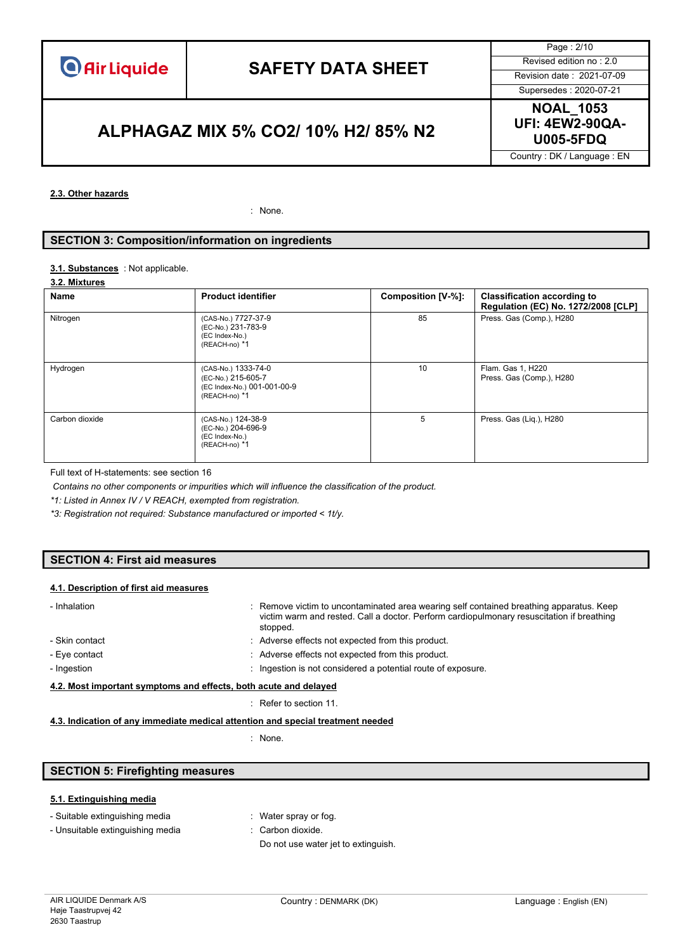Page : 2/10

Supersedes : 2020-07-21

**U005-5FDQ ALPHAGAZ MIX 5% CO2/ 10% H2/ 85% N2**

**NOAL\_1053 UFI: 4EW2-90QA-**

Country : DK / Language : EN

#### **2.3. Other hazards**

: None.

#### **SECTION 3: Composition/information on ingredients**

#### 3.1. **Substances** : Not applicable.

#### **3.2. Mixtures**

| Name           | <b>Product identifier</b>                                                                 | Composition [V-%]: | <b>Classification according to</b><br>Regulation (EC) No. 1272/2008 [CLP] |
|----------------|-------------------------------------------------------------------------------------------|--------------------|---------------------------------------------------------------------------|
| Nitrogen       | (CAS-No.) 7727-37-9<br>(EC-No.) 231-783-9<br>(EC Index-No.)<br>(REACH-no) *1              | 85                 | Press. Gas (Comp.), H280                                                  |
| Hydrogen       | (CAS-No.) 1333-74-0<br>(EC-No.) 215-605-7<br>(EC Index-No.) 001-001-00-9<br>(REACH-no) *1 | 10                 | Flam. Gas 1, H220<br>Press. Gas (Comp.), H280                             |
| Carbon dioxide | (CAS-No.) 124-38-9<br>(EC-No.) 204-696-9<br>(EC Index-No.)<br>(REACH-no) *1               | 5                  | Press. Gas (Liq.), H280                                                   |

Full text of H-statements: see section 16

*Contains no other components or impurities which will influence the classification of the product.*

*\*1: Listed in Annex IV / V REACH, exempted from registration.*

*\*3: Registration not required: Substance manufactured or imported < 1t/y.*

#### **SECTION 4: First aid measures**

#### **4.1. Description of first aid measures**

| : Remove victim to uncontaminated area wearing self contained breathing apparatus. Keep<br>victim warm and rested. Call a doctor. Perform cardiopulmonary resuscitation if breathing<br>stopped. |  |
|--------------------------------------------------------------------------------------------------------------------------------------------------------------------------------------------------|--|
| : Adverse effects not expected from this product.                                                                                                                                                |  |
| : Adverse effects not expected from this product.                                                                                                                                                |  |
| Ingestion is not considered a potential route of exposure.                                                                                                                                       |  |
| 4.2. Most important symptoms and effects, both acute and delayed                                                                                                                                 |  |
|                                                                                                                                                                                                  |  |

#### : Refer to section 11.

#### **4.3. Indication of any immediate medical attention and special treatment needed**

: None.

#### **SECTION 5: Firefighting measures**

#### **5.1. Extinguishing media**

|  |  | - Suitable extinguishing media |  |
|--|--|--------------------------------|--|
|--|--|--------------------------------|--|

- : Water spray or fog.
- Unsuitable extinguishing media : Carbon dioxide.
	-
	- Do not use water jet to extinguish.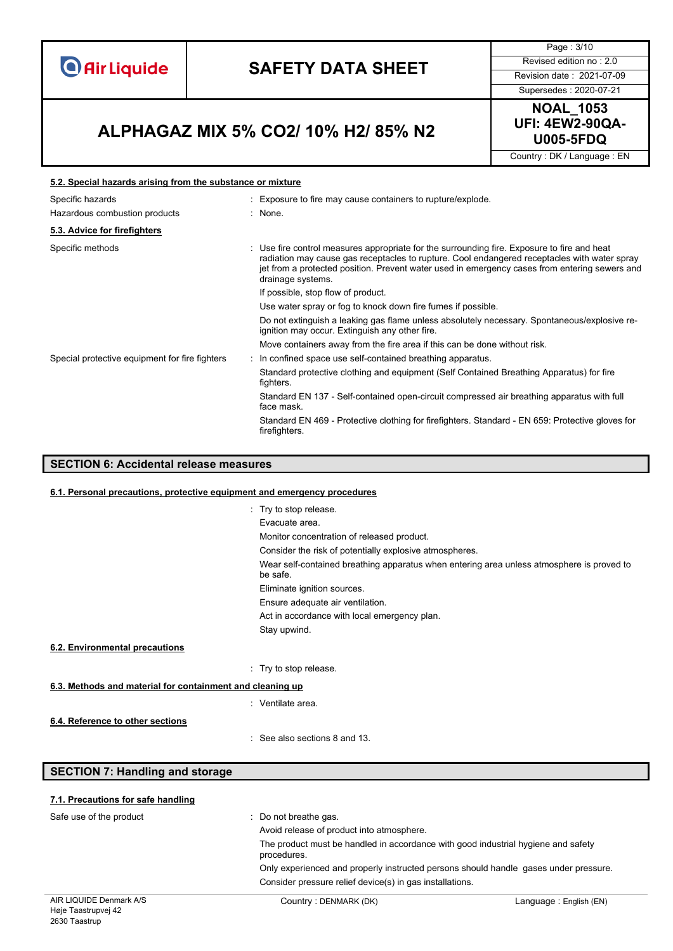**O** Air Liquide

# **SAFETY DATA SHEET** Revised edition no : 2.0

Page : 3/10

Supersedes : 2020-07-21

### **U005-5FDQ ALPHAGAZ MIX 5% CO2/ 10% H2/ 85% N2**



Country : DK / Language : EN

#### **5.2. Special hazards arising from the substance or mixture**

| : Exposure to fire may cause containers to rupture/explode.                                                                                                                                                                                                                                                          |
|----------------------------------------------------------------------------------------------------------------------------------------------------------------------------------------------------------------------------------------------------------------------------------------------------------------------|
| : None.                                                                                                                                                                                                                                                                                                              |
|                                                                                                                                                                                                                                                                                                                      |
| Use fire control measures appropriate for the surrounding fire. Exposure to fire and heat<br>÷<br>radiation may cause gas receptacles to rupture. Cool endangered receptacles with water spray<br>jet from a protected position. Prevent water used in emergency cases from entering sewers and<br>drainage systems. |
| If possible, stop flow of product.                                                                                                                                                                                                                                                                                   |
| Use water spray or fog to knock down fire fumes if possible.                                                                                                                                                                                                                                                         |
| Do not extinguish a leaking gas flame unless absolutely necessary. Spontaneous/explosive re-<br>ignition may occur. Extinguish any other fire.                                                                                                                                                                       |
| Move containers away from the fire area if this can be done without risk.                                                                                                                                                                                                                                            |
| : In confined space use self-contained breathing apparatus.                                                                                                                                                                                                                                                          |
| Standard protective clothing and equipment (Self Contained Breathing Apparatus) for fire<br>fighters.                                                                                                                                                                                                                |
| Standard EN 137 - Self-contained open-circuit compressed air breathing apparatus with full<br>face mask.                                                                                                                                                                                                             |
| Standard EN 469 - Protective clothing for firefighters. Standard - EN 659: Protective gloves for<br>firefighters.                                                                                                                                                                                                    |
|                                                                                                                                                                                                                                                                                                                      |

### **SECTION 6: Accidental release measures**

#### **6.1. Personal precautions, protective equipment and emergency procedures**

|                                                           | : Try to stop release.                                                                                |
|-----------------------------------------------------------|-------------------------------------------------------------------------------------------------------|
|                                                           | Evacuate area.                                                                                        |
|                                                           | Monitor concentration of released product.                                                            |
|                                                           | Consider the risk of potentially explosive atmospheres.                                               |
|                                                           | Wear self-contained breathing apparatus when entering area unless atmosphere is proved to<br>be safe. |
|                                                           | Eliminate ignition sources.                                                                           |
|                                                           | Ensure adequate air ventilation.                                                                      |
|                                                           | Act in accordance with local emergency plan.                                                          |
|                                                           | Stay upwind.                                                                                          |
| 6.2. Environmental precautions                            |                                                                                                       |
|                                                           | : Try to stop release.                                                                                |
| 6.3. Methods and material for containment and cleaning up |                                                                                                       |
|                                                           | : Ventilate area.                                                                                     |
| 6.4. Reference to other sections                          |                                                                                                       |
|                                                           | $\therefore$ See also sections 8 and 13.                                                              |

#### **SECTION 7: Handling and storage**

| 7.1. Precautions for safe handling |                                                                                                  |                         |  |  |
|------------------------------------|--------------------------------------------------------------------------------------------------|-------------------------|--|--|
| Safe use of the product            | $\therefore$ Do not breathe gas.                                                                 |                         |  |  |
|                                    | Avoid release of product into atmosphere.                                                        |                         |  |  |
|                                    | The product must be handled in accordance with good industrial hygiene and safety<br>procedures. |                         |  |  |
|                                    | Only experienced and properly instructed persons should handle gases under pressure.             |                         |  |  |
|                                    | Consider pressure relief device(s) in gas installations.                                         |                         |  |  |
| AIR LIQUIDE Denmark A/S            | Country: DENMARK (DK)                                                                            | Language : English (EN) |  |  |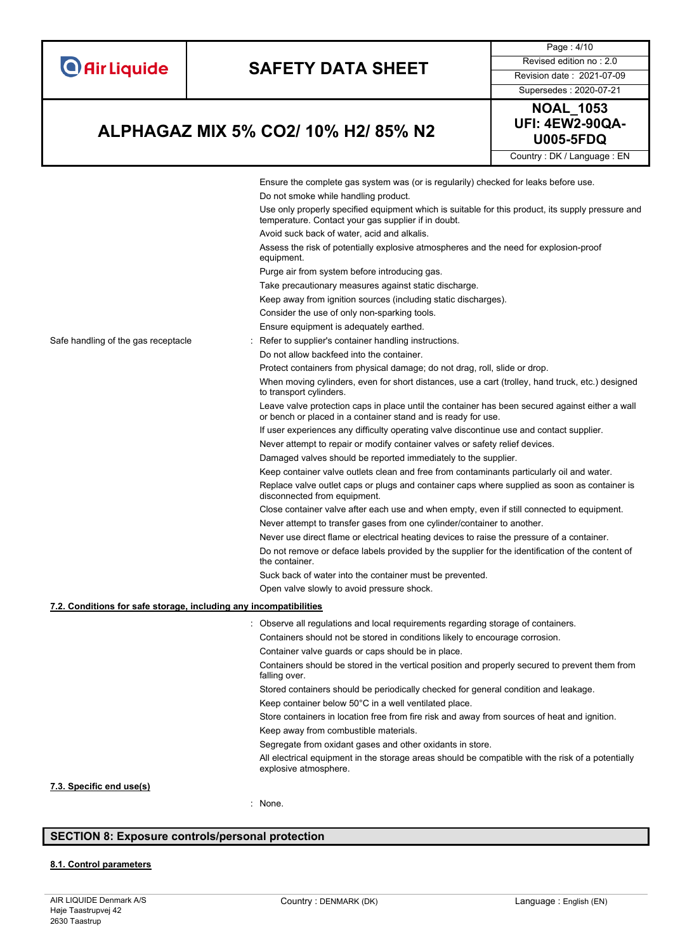

#### **7.3. Specific end use(s)**

: None.

#### **SECTION 8: Exposure controls/personal protection**

#### **8.1. Control parameters**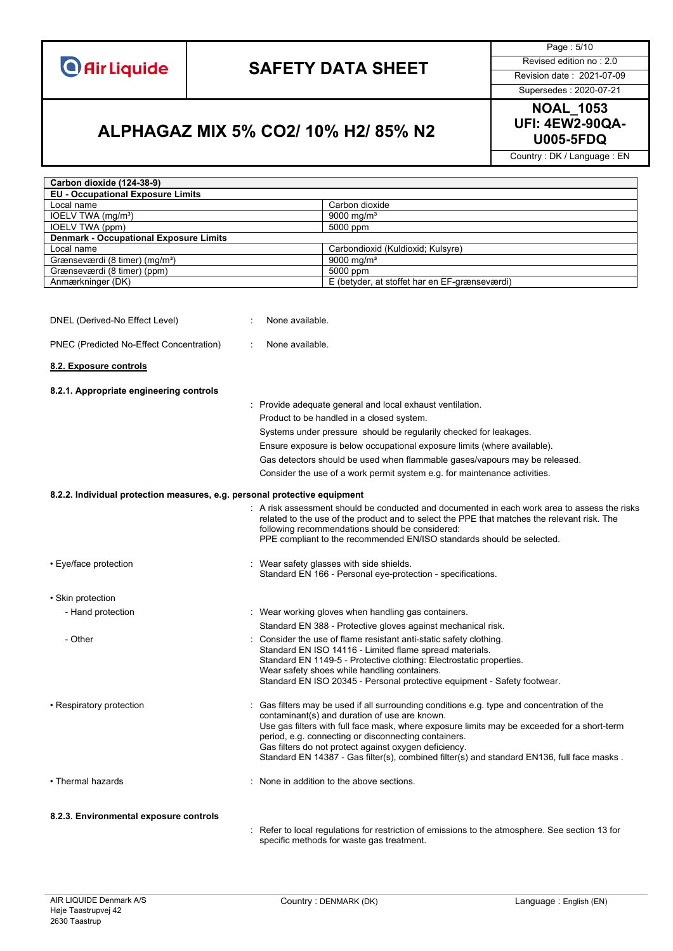

Page : 5/10

Supersedes : 2020-07-21

# **NOAL\_1053**

### **U005-5FDQ ALPHAGAZ MIX 5% CO2/ 10% H2/ 85% N2**

**UFI: 4EW2-90QA-**

Country : DK / Language : EN

| Carbon dioxide (124-38-9)                                                 |                                                                                                                                                                                                                                                                                                                                                                                                                                                         |
|---------------------------------------------------------------------------|---------------------------------------------------------------------------------------------------------------------------------------------------------------------------------------------------------------------------------------------------------------------------------------------------------------------------------------------------------------------------------------------------------------------------------------------------------|
| <b>EU - Occupational Exposure Limits</b>                                  |                                                                                                                                                                                                                                                                                                                                                                                                                                                         |
| Local name                                                                | Carbon dioxide                                                                                                                                                                                                                                                                                                                                                                                                                                          |
| IOELV TWA (mg/m <sup>3</sup> )                                            | 9000 mg/m <sup>3</sup>                                                                                                                                                                                                                                                                                                                                                                                                                                  |
| IOELV TWA (ppm)                                                           | 5000 ppm                                                                                                                                                                                                                                                                                                                                                                                                                                                |
| <b>Denmark - Occupational Exposure Limits</b>                             |                                                                                                                                                                                                                                                                                                                                                                                                                                                         |
| Local name                                                                | Carbondioxid (Kuldioxid; Kulsyre)                                                                                                                                                                                                                                                                                                                                                                                                                       |
| Grænseværdi (8 timer) (mg/m <sup>3</sup> )                                | 9000 mg/m <sup>3</sup>                                                                                                                                                                                                                                                                                                                                                                                                                                  |
| Grænseværdi (8 timer) (ppm)                                               | 5000 ppm                                                                                                                                                                                                                                                                                                                                                                                                                                                |
| Anmærkninger (DK)                                                         | E (betyder, at stoffet har en EF-grænseværdi)                                                                                                                                                                                                                                                                                                                                                                                                           |
| DNEL (Derived-No Effect Level)                                            | None available.                                                                                                                                                                                                                                                                                                                                                                                                                                         |
| PNEC (Predicted No-Effect Concentration)                                  | None available.                                                                                                                                                                                                                                                                                                                                                                                                                                         |
| 8.2. Exposure controls                                                    |                                                                                                                                                                                                                                                                                                                                                                                                                                                         |
| 8.2.1. Appropriate engineering controls                                   |                                                                                                                                                                                                                                                                                                                                                                                                                                                         |
|                                                                           | : Provide adequate general and local exhaust ventilation.                                                                                                                                                                                                                                                                                                                                                                                               |
|                                                                           | Product to be handled in a closed system.                                                                                                                                                                                                                                                                                                                                                                                                               |
|                                                                           | Systems under pressure should be regularily checked for leakages.                                                                                                                                                                                                                                                                                                                                                                                       |
|                                                                           | Ensure exposure is below occupational exposure limits (where available).                                                                                                                                                                                                                                                                                                                                                                                |
|                                                                           | Gas detectors should be used when flammable gases/vapours may be released.                                                                                                                                                                                                                                                                                                                                                                              |
|                                                                           |                                                                                                                                                                                                                                                                                                                                                                                                                                                         |
|                                                                           | Consider the use of a work permit system e.g. for maintenance activities.                                                                                                                                                                                                                                                                                                                                                                               |
| 8.2.2. Individual protection measures, e.g. personal protective equipment |                                                                                                                                                                                                                                                                                                                                                                                                                                                         |
|                                                                           | : A risk assessment should be conducted and documented in each work area to assess the risks<br>related to the use of the product and to select the PPE that matches the relevant risk. The<br>following recommendations should be considered:<br>PPE compliant to the recommended EN/ISO standards should be selected.                                                                                                                                 |
| • Eye/face protection                                                     | Wear safety glasses with side shields.<br>Standard EN 166 - Personal eye-protection - specifications.                                                                                                                                                                                                                                                                                                                                                   |
| • Skin protection                                                         |                                                                                                                                                                                                                                                                                                                                                                                                                                                         |
| - Hand protection                                                         | : Wear working gloves when handling gas containers.                                                                                                                                                                                                                                                                                                                                                                                                     |
|                                                                           | Standard EN 388 - Protective gloves against mechanical risk.                                                                                                                                                                                                                                                                                                                                                                                            |
| - Other                                                                   | Consider the use of flame resistant anti-static safety clothing.<br>Standard EN ISO 14116 - Limited flame spread materials.<br>Standard EN 1149-5 - Protective clothing: Electrostatic properties.<br>Wear safety shoes while handling containers.<br>Standard EN ISO 20345 - Personal protective equipment - Safety footwear.                                                                                                                          |
| • Respiratory protection                                                  | Gas filters may be used if all surrounding conditions e.g. type and concentration of the<br>contaminant(s) and duration of use are known.<br>Use gas filters with full face mask, where exposure limits may be exceeded for a short-term<br>period, e.g. connecting or disconnecting containers.<br>Gas filters do not protect against oxygen deficiency.<br>Standard EN 14387 - Gas filter(s), combined filter(s) and standard EN136, full face masks. |
| • Thermal hazards                                                         | : None in addition to the above sections.                                                                                                                                                                                                                                                                                                                                                                                                               |
| 8.2.3. Environmental exposure controls                                    |                                                                                                                                                                                                                                                                                                                                                                                                                                                         |

: Refer to local regulations for restriction of emissions to the atmosphere. See section 13 for specific methods for waste gas treatment.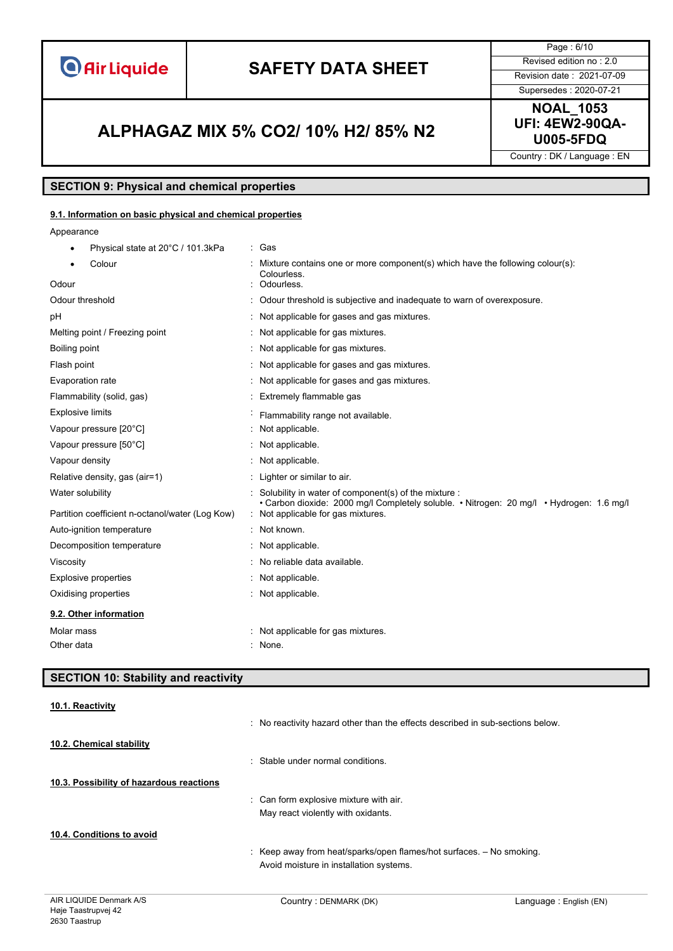**O** Air Liquide

# **SAFETY DATA SHEET** Revised edition no : 2.0

Page : 6/10

Supersedes : 2020-07-21

### **U005-5FDQ ALPHAGAZ MIX 5% CO2/ 10% H2/ 85% N2**

**NOAL\_1053 UFI: 4EW2-90QA-**

Country : DK / Language : EN

#### **SECTION 9: Physical and chemical properties**

#### **9.1. Information on basic physical and chemical properties**

Appearance

| Physical state at 20°C / 101.3kPa               | : Gas                                                                                                                                            |
|-------------------------------------------------|--------------------------------------------------------------------------------------------------------------------------------------------------|
| Colour                                          | Mixture contains one or more component(s) which have the following colour(s):<br>Colourless.                                                     |
| Odour                                           | Odourless.                                                                                                                                       |
| Odour threshold                                 | Odour threshold is subjective and inadequate to warn of overexposure.                                                                            |
| рH                                              | Not applicable for gases and gas mixtures.                                                                                                       |
| Melting point / Freezing point                  | Not applicable for gas mixtures.                                                                                                                 |
| Boiling point                                   | Not applicable for gas mixtures.                                                                                                                 |
| Flash point                                     | Not applicable for gases and gas mixtures.                                                                                                       |
| Evaporation rate                                | Not applicable for gases and gas mixtures.                                                                                                       |
| Flammability (solid, gas)                       | Extremely flammable gas                                                                                                                          |
| <b>Explosive limits</b>                         | Flammability range not available.                                                                                                                |
| Vapour pressure [20°C]                          | Not applicable.                                                                                                                                  |
| Vapour pressure [50°C]                          | Not applicable.                                                                                                                                  |
| Vapour density                                  | Not applicable.                                                                                                                                  |
| Relative density, gas (air=1)                   | Lighter or similar to air.                                                                                                                       |
| Water solubility                                | Solubility in water of component(s) of the mixture :<br>• Carbon dioxide: 2000 mg/l Completely soluble. • Nitrogen: 20 mg/l • Hydrogen: 1.6 mg/l |
| Partition coefficient n-octanol/water (Log Kow) | : Not applicable for gas mixtures.                                                                                                               |
| Auto-ignition temperature                       | Not known.                                                                                                                                       |
| Decomposition temperature                       | Not applicable.                                                                                                                                  |
| Viscosity                                       | No reliable data available.                                                                                                                      |
| <b>Explosive properties</b>                     | Not applicable.                                                                                                                                  |
| Oxidising properties                            | Not applicable.                                                                                                                                  |
| 9.2. Other information                          |                                                                                                                                                  |
| Molar mass                                      | : Not applicable for gas mixtures.                                                                                                               |
| Other data                                      | : None.                                                                                                                                          |

### **SECTION 10: Stability and reactivity 10.1. Reactivity** : No reactivity hazard other than the effects described in sub-sections below. **10.2. Chemical stability** : Stable under normal conditions. **10.3. Possibility of hazardous reactions** : Can form explosive mixture with air. May react violently with oxidants. **10.4. Conditions to avoid** : Keep away from heat/sparks/open flames/hot surfaces. – No smoking. Avoid moisture in installation systems.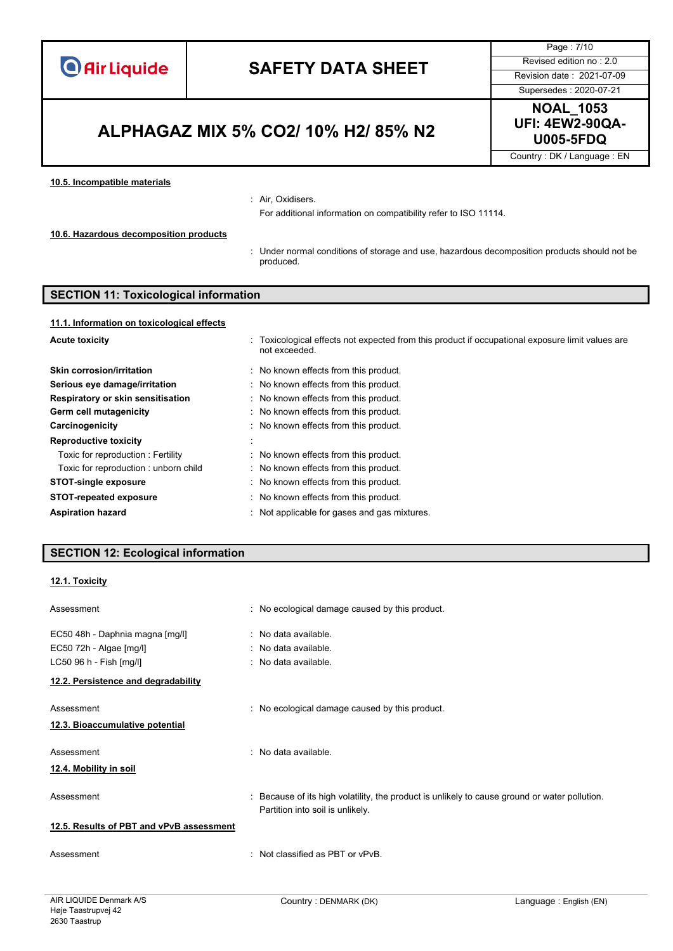| <b>O</b> Air Liquide |  |  |
|----------------------|--|--|
|                      |  |  |
|                      |  |  |

Page : 7/10

### **U005-5FDQ ALPHAGAZ MIX 5% CO2/ 10% H2/ 85% N2**

Supersedes : 2020-07-21 **NOAL\_1053 UFI: 4EW2-90QA-**

Country : DK / Language : EN

#### **10.5. Incompatible materials**

#### : Air, Oxidisers.

For additional information on compatibility refer to ISO 11114.

#### **10.6. Hazardous decomposition products**

: Under normal conditions of storage and use, hazardous decomposition products should not be produced.

#### **SECTION 11: Toxicological information**

| : Toxicological effects not expected from this product if occupational exposure limit values are<br>not exceeded. |
|-------------------------------------------------------------------------------------------------------------------|
| No known effects from this product.                                                                               |
| No known effects from this product.                                                                               |
| No known effects from this product.                                                                               |
| No known effects from this product.                                                                               |
| No known effects from this product.                                                                               |
|                                                                                                                   |
| No known effects from this product.                                                                               |
| No known effects from this product.                                                                               |
| : No known effects from this product.                                                                             |
| No known effects from this product.                                                                               |
| : Not applicable for gases and gas mixtures.                                                                      |
|                                                                                                                   |

#### **SECTION 12: Ecological information**

#### **12.1. Toxicity**

| Assessment                               | : No ecological damage caused by this product.                                                                                    |
|------------------------------------------|-----------------------------------------------------------------------------------------------------------------------------------|
| EC50 48h - Daphnia magna [mg/l]          | : No data available.                                                                                                              |
| EC50 72h - Algae [mg/l]                  | : No data available.                                                                                                              |
| LC50 96 h - Fish [mg/l]                  | : No data available.                                                                                                              |
| 12.2. Persistence and degradability      |                                                                                                                                   |
| Assessment                               | : No ecological damage caused by this product.                                                                                    |
| 12.3. Bioaccumulative potential          |                                                                                                                                   |
| Assessment                               | . No data available                                                                                                               |
| 12.4. Mobility in soil                   |                                                                                                                                   |
| Assessment                               | : Because of its high volatility, the product is unlikely to cause ground or water pollution.<br>Partition into soil is unlikely. |
| 12.5. Results of PBT and vPvB assessment |                                                                                                                                   |
| Assessment                               | $\therefore$ Not classified as PBT or vPvB.                                                                                       |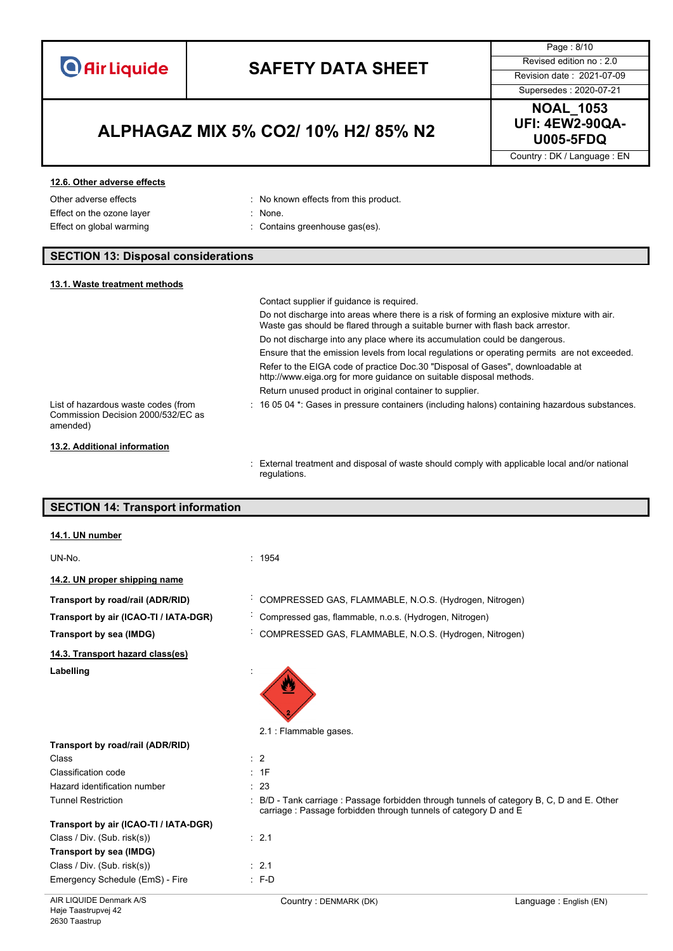

Page : 8/10

Supersedes : 2020-07-21

### **U005-5FDQ ALPHAGAZ MIX 5% CO2/ 10% H2/ 85% N2**

**NOAL\_1053 UFI: 4EW2-90QA-**

Country : DK / Language : EN

#### **12.6. Other adverse effects**

Effect on the ozone layer : None.

- Other adverse effects **in the contract of the Contract Contract Contract Contract Contract Contract Contract Contract Contract Contract Contract Contract Contract Contract Contract Contract Contract Contract Contract Contr** 
	-
- Effect on global warming **in the contains greenhouse gas(es)**.

#### **SECTION 13: Disposal considerations**

#### **13.1. Waste treatment methods**

|                                                                                       | Contact supplier if quidance is required.                                                                                                                                     |
|---------------------------------------------------------------------------------------|-------------------------------------------------------------------------------------------------------------------------------------------------------------------------------|
|                                                                                       | Do not discharge into areas where there is a risk of forming an explosive mixture with air.<br>Waste gas should be flared through a suitable burner with flash back arrestor. |
|                                                                                       | Do not discharge into any place where its accumulation could be dangerous.                                                                                                    |
|                                                                                       | Ensure that the emission levels from local regulations or operating permits are not exceeded.                                                                                 |
|                                                                                       | Refer to the EIGA code of practice Doc.30 "Disposal of Gases", downloadable at<br>http://www.eiga.org for more guidance on suitable disposal methods.                         |
|                                                                                       | Return unused product in original container to supplier.                                                                                                                      |
| List of hazardous waste codes (from<br>Commission Decision 2000/532/EC as<br>amended) | : 16 05 04 *: Gases in pressure containers (including halons) containing hazardous substances.                                                                                |
| 13.2. Additional information                                                          |                                                                                                                                                                               |
|                                                                                       |                                                                                                                                                                               |

: External treatment and disposal of waste should comply with applicable local and/or national regulations.

| <b>SECTION 14: Transport information</b> |                                                                                                                                                             |  |
|------------------------------------------|-------------------------------------------------------------------------------------------------------------------------------------------------------------|--|
|                                          |                                                                                                                                                             |  |
| 14.1. UN number                          |                                                                                                                                                             |  |
| UN-No.                                   | : 1954                                                                                                                                                      |  |
| 14.2. UN proper shipping name            |                                                                                                                                                             |  |
| Transport by road/rail (ADR/RID)         | COMPRESSED GAS, FLAMMABLE, N.O.S. (Hydrogen, Nitrogen)                                                                                                      |  |
| Transport by air (ICAO-TI / IATA-DGR)    | Compressed gas, flammable, n.o.s. (Hydrogen, Nitrogen)                                                                                                      |  |
| Transport by sea (IMDG)                  | COMPRESSED GAS, FLAMMABLE, N.O.S. (Hydrogen, Nitrogen)                                                                                                      |  |
| 14.3. Transport hazard class(es)         |                                                                                                                                                             |  |
| Labelling                                |                                                                                                                                                             |  |
|                                          | 2.1 : Flammable gases.                                                                                                                                      |  |
| Transport by road/rail (ADR/RID)         |                                                                                                                                                             |  |
| Class                                    | $\therefore$ 2                                                                                                                                              |  |
| Classification code                      | : 1F                                                                                                                                                        |  |
| Hazard identification number             | : 23                                                                                                                                                        |  |
| <b>Tunnel Restriction</b>                | B/D - Tank carriage : Passage forbidden through tunnels of category B, C, D and E. Other<br>carriage: Passage forbidden through tunnels of category D and E |  |
| Transport by air (ICAO-TI / IATA-DGR)    |                                                                                                                                                             |  |
| Class / Div. (Sub. risk(s))              | : 2.1                                                                                                                                                       |  |
| Transport by sea (IMDG)                  |                                                                                                                                                             |  |
| Class / Div. (Sub. risk(s))              | : 2.1                                                                                                                                                       |  |
| Emergency Schedule (EmS) - Fire          | $: F-D$                                                                                                                                                     |  |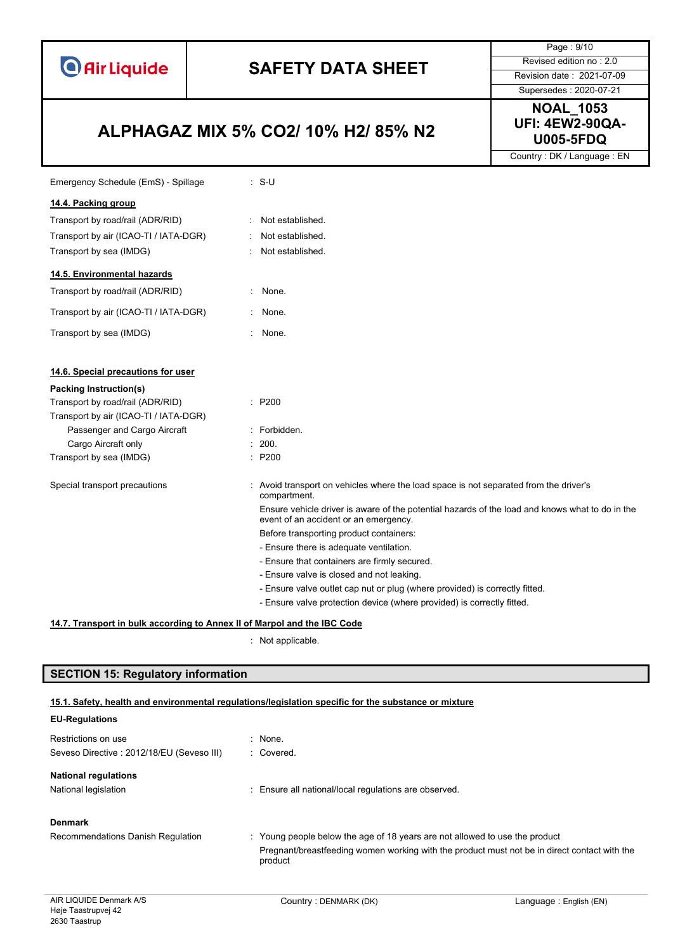

Page : 9/10

### Supersedes : 2020-07-21

### **U005-5FDQ ALPHAGAZ MIX 5% CO2/ 10% H2/ 85% N2**

**NOAL\_1053 UFI: 4EW2-90QA-**

Country : DK / Language : EN

| Emergency Schedule (EmS) - Spillage   | $: S-U$                                                                                                                                  |
|---------------------------------------|------------------------------------------------------------------------------------------------------------------------------------------|
| 14.4. Packing group                   |                                                                                                                                          |
| Transport by road/rail (ADR/RID)      | Not established.                                                                                                                         |
| Transport by air (ICAO-TI / IATA-DGR) | Not established.                                                                                                                         |
| Transport by sea (IMDG)               | Not established.                                                                                                                         |
| 14.5. Environmental hazards           |                                                                                                                                          |
| Transport by road/rail (ADR/RID)      | None.                                                                                                                                    |
| Transport by air (ICAO-TI / IATA-DGR) | : None.                                                                                                                                  |
| Transport by sea (IMDG)               | : None.                                                                                                                                  |
| 14.6. Special precautions for user    |                                                                                                                                          |
| Packing Instruction(s)                |                                                                                                                                          |
| Transport by road/rail (ADR/RID)      | : P200                                                                                                                                   |
| Transport by air (ICAO-TI / IATA-DGR) |                                                                                                                                          |
| Passenger and Cargo Aircraft          | : Forbidden.                                                                                                                             |
| Cargo Aircraft only                   | : 200.                                                                                                                                   |
| Transport by sea (IMDG)               | : P200                                                                                                                                   |
| Special transport precautions         | : Avoid transport on vehicles where the load space is not separated from the driver's<br>compartment.                                    |
|                                       | Ensure vehicle driver is aware of the potential hazards of the load and knows what to do in the<br>event of an accident or an emergency. |
|                                       | Before transporting product containers:                                                                                                  |
|                                       | - Ensure there is adequate ventilation.                                                                                                  |
|                                       | - Ensure that containers are firmly secured.                                                                                             |
|                                       | - Ensure valve is closed and not leaking.                                                                                                |
|                                       | - Ensure valve outlet cap nut or plug (where provided) is correctly fitted.                                                              |
|                                       | - Ensure valve protection device (where provided) is correctly fitted.                                                                   |

**14.7. Transport in bulk according to Annex II of Marpol and the IBC Code**

: Not applicable.

#### **SECTION 15: Regulatory information**

### **15.1. Safety, health and environmental regulations/legislation specific for the substance or mixture**

### **EU-Regulations** Restrictions on use in the set of the set of the set of the set of the set of the set of the set of the set of the set of the set of the set of the set of the set of the set of the set of the set of the set of the set of t Seveso Directive : 2012/18/EU (Seveso III) : Covered. **National regulations** National legislation **interval in the Community Community** Ensure all national/local regulations are observed. **Denmark** Recommendations Danish Regulation : Young people below the age of 18 years are not allowed to use the product Pregnant/breastfeeding women working with the product must not be in direct contact with the product